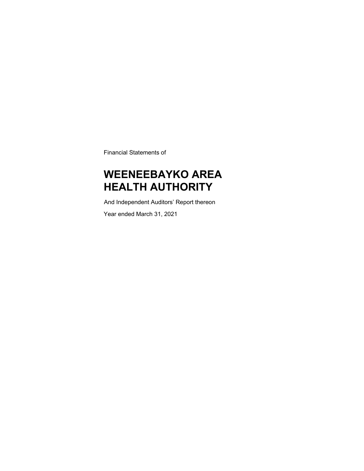Financial Statements of

### **WEENEEBAYKO AREA HEALTH AUTHORITY**

And Independent Auditors' Report thereon

Year ended March 31, 2021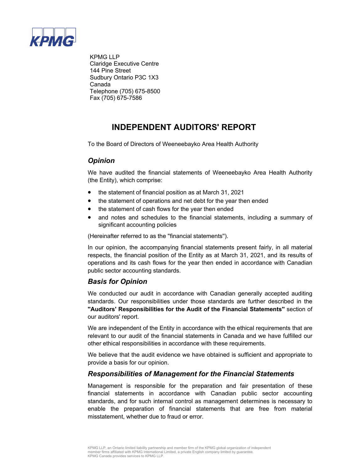

 KPMG LLP Claridge Executive Centre 144 Pine Street Sudbury Ontario P3C 1X3 Canada Telephone (705) 675-8500 Fax (705) 675-7586

### **INDEPENDENT AUDITORS' REPORT**

To the Board of Directors of Weeneebayko Area Health Authority

### *Opinion*

We have audited the financial statements of Weeneebayko Area Health Authority (the Entity), which comprise:

- the statement of financial position as at March 31, 2021
- the statement of operations and net debt for the year then ended
- the statement of cash flows for the year then ended
- and notes and schedules to the financial statements, including a summary of significant accounting policies

(Hereinafter referred to as the ''financial statements'').

In our opinion, the accompanying financial statements present fairly, in all material respects, the financial position of the Entity as at March 31, 2021, and its results of operations and its cash flows for the year then ended in accordance with Canadian public sector accounting standards.

### *Basis for Opinion*

We conducted our audit in accordance with Canadian generally accepted auditing standards. Our responsibilities under those standards are further described in the **''Auditors' Responsibilities for the Audit of the Financial Statements''** section of our auditors' report.

We are independent of the Entity in accordance with the ethical requirements that are relevant to our audit of the financial statements in Canada and we have fulfilled our other ethical responsibilities in accordance with these requirements.

We believe that the audit evidence we have obtained is sufficient and appropriate to provide a basis for our opinion.

### *Responsibilities of Management for the Financial Statements*

Management is responsible for the preparation and fair presentation of these financial statements in accordance with Canadian public sector accounting standards, and for such internal control as management determines is necessary to enable the preparation of financial statements that are free from material misstatement, whether due to fraud or error.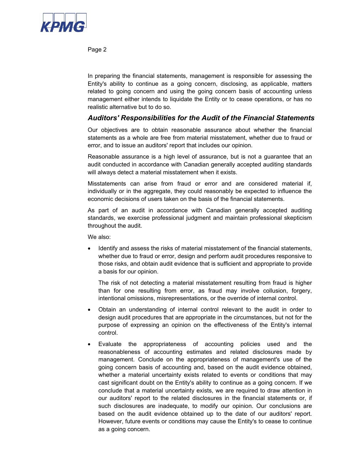

Page 2

In preparing the financial statements, management is responsible for assessing the Entity's ability to continue as a going concern, disclosing, as applicable, matters related to going concern and using the going concern basis of accounting unless management either intends to liquidate the Entity or to cease operations, or has no realistic alternative but to do so.

### *Auditors' Responsibilities for the Audit of the Financial Statements*

Our objectives are to obtain reasonable assurance about whether the financial statements as a whole are free from material misstatement, whether due to fraud or error, and to issue an auditors' report that includes our opinion.

Reasonable assurance is a high level of assurance, but is not a guarantee that an audit conducted in accordance with Canadian generally accepted auditing standards will always detect a material misstatement when it exists.

Misstatements can arise from fraud or error and are considered material if, individually or in the aggregate, they could reasonably be expected to influence the economic decisions of users taken on the basis of the financial statements.

As part of an audit in accordance with Canadian generally accepted auditing standards, we exercise professional judgment and maintain professional skepticism throughout the audit.

We also:

• Identify and assess the risks of material misstatement of the financial statements, whether due to fraud or error, design and perform audit procedures responsive to those risks, and obtain audit evidence that is sufficient and appropriate to provide a basis for our opinion.

The risk of not detecting a material misstatement resulting from fraud is higher than for one resulting from error, as fraud may involve collusion, forgery, intentional omissions, misrepresentations, or the override of internal control.

- Obtain an understanding of internal control relevant to the audit in order to design audit procedures that are appropriate in the circumstances, but not for the purpose of expressing an opinion on the effectiveness of the Entity's internal control.
- Evaluate the appropriateness of accounting policies used and the reasonableness of accounting estimates and related disclosures made by management. Conclude on the appropriateness of management's use of the going concern basis of accounting and, based on the audit evidence obtained, whether a material uncertainty exists related to events or conditions that may cast significant doubt on the Entity's ability to continue as a going concern. If we conclude that a material uncertainty exists, we are required to draw attention in our auditors' report to the related disclosures in the financial statements or, if such disclosures are inadequate, to modify our opinion. Our conclusions are based on the audit evidence obtained up to the date of our auditors' report. However, future events or conditions may cause the Entity's to cease to continue as a going concern.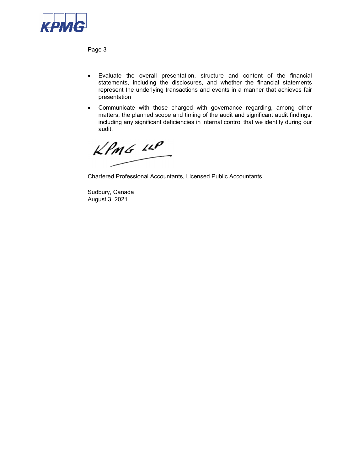

Page 3

- Evaluate the overall presentation, structure and content of the financial statements, including the disclosures, and whether the financial statements represent the underlying transactions and events in a manner that achieves fair presentation
- Communicate with those charged with governance regarding, among other matters, the planned scope and timing of the audit and significant audit findings, including any significant deficiencies in internal control that we identify during our audit.

 $KPMG$  14P

Chartered Professional Accountants, Licensed Public Accountants

Sudbury, Canada August 3, 2021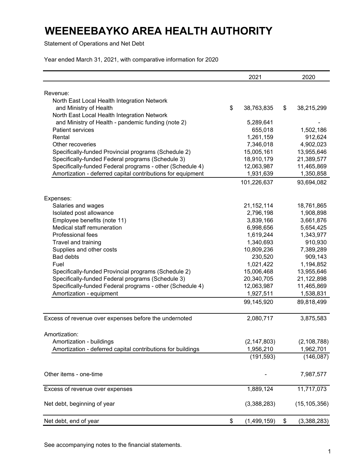Statement of Operations and Net Debt

Year ended March 31, 2021, with comparative information for 2020

|                                                                       | 2021              | 2020                    |
|-----------------------------------------------------------------------|-------------------|-------------------------|
|                                                                       |                   |                         |
| Revenue:                                                              |                   |                         |
| North East Local Health Integration Network<br>and Ministry of Health | \$<br>38,763,835  |                         |
| North East Local Health Integration Network                           |                   | \$<br>38,215,299        |
| and Ministry of Health - pandemic funding (note 2)                    | 5,289,641         |                         |
| <b>Patient services</b>                                               | 655,018           | 1,502,186               |
| Rental                                                                | 1,261,159         | 912,624                 |
| Other recoveries                                                      | 7,346,018         | 4,902,023               |
| Specifically-funded Provincial programs (Schedule 2)                  | 15,005,161        | 13,955,646              |
| Specifically-funded Federal programs (Schedule 3)                     | 18,910,179        | 21,389,577              |
| Specifically-funded Federal programs - other (Schedule 4)             | 12,063,987        | 11,465,869              |
| Amortization - deferred capital contributions for equipment           | 1,931,639         | 1,350,858               |
|                                                                       | 101,226,637       | 93,694,082              |
|                                                                       |                   |                         |
| Expenses:                                                             | 21,152,114        |                         |
| Salaries and wages<br>Isolated post allowance                         | 2,796,198         | 18,761,865<br>1,908,898 |
| Employee benefits (note 11)                                           | 3,839,166         | 3,661,876               |
| Medical staff remuneration                                            | 6,998,656         | 5,654,425               |
| Professional fees                                                     | 1,619,244         | 1,343,977               |
| Travel and training                                                   | 1,340,693         | 910,930                 |
| Supplies and other costs                                              | 10,809,236        | 7,389,289               |
| <b>Bad debts</b>                                                      | 230,520           | 909,143                 |
| Fuel                                                                  | 1,021,422         | 1,194,852               |
| Specifically-funded Provincial programs (Schedule 2)                  | 15,006,468        | 13,955,646              |
| Specifically-funded Federal programs (Schedule 3)                     | 20,340,705        | 21,122,898              |
| Specifically-funded Federal programs - other (Schedule 4)             | 12,063,987        | 11,465,869              |
| Amortization - equipment                                              | 1,927,511         | 1,538,831               |
|                                                                       | 99,145,920        | 89,818,499              |
|                                                                       | 2,080,717         | 3,875,583               |
| Excess of revenue over expenses before the undernoted                 |                   |                         |
| Amortization:                                                         |                   |                         |
| Amortization - buildings                                              | (2, 147, 803)     | (2, 108, 788)           |
| Amortization - deferred capital contributions for buildings           | 1,956,210         | 1,962,701               |
|                                                                       | (191, 593)        | (146, 087)              |
| Other items - one-time                                                |                   | 7,987,577               |
| Excess of revenue over expenses                                       | 1,889,124         | 11,717,073              |
| Net debt, beginning of year                                           | (3,388,283)       | (15, 105, 356)          |
| Net debt, end of year                                                 | \$<br>(1,499,159) | \$<br>(3,388,283)       |

See accompanying notes to the financial statements.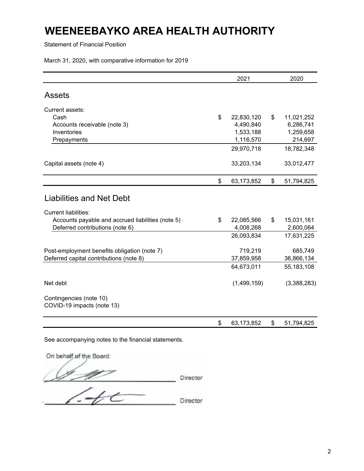Statement of Financial Position

March 31, 2020, with comparative information for 2019

|                                                                                                                     | 2021                  | 2020                  |
|---------------------------------------------------------------------------------------------------------------------|-----------------------|-----------------------|
|                                                                                                                     |                       |                       |
| <b>Assets</b>                                                                                                       |                       |                       |
| Current assets:                                                                                                     |                       |                       |
| Cash                                                                                                                | \$<br>22,830,120      | \$<br>11,021,252      |
| Accounts receivable (note 3)                                                                                        | 4,490,840             | 6,286,741             |
| Inventories                                                                                                         | 1,533,188             | 1,259,658             |
| Prepayments                                                                                                         | 1,116,570             | 214,697               |
|                                                                                                                     | 29,970,718            | 18,782,348            |
| Capital assets (note 4)                                                                                             | 33,203,134            | 33,012,477            |
|                                                                                                                     | \$<br>63,173,852      | \$<br>51,794,825      |
| <b>Liabilities and Net Debt</b><br><b>Current liabilities:</b><br>Accounts payable and accrued liabilities (note 5) | \$<br>22,085,566      | \$<br>15,031,161      |
| Deferred contributions (note 6)                                                                                     | 4,008,268             | 2,600,064             |
|                                                                                                                     | 26,093,834            | 17,631,225            |
| Post-employment benefits obligation (note 7)<br>Deferred capital contributions (note 8)                             | 719,219<br>37,859,958 | 685,749<br>36,866,134 |
|                                                                                                                     | 64,673,011            | 55,183,108            |
| Net debt                                                                                                            | (1,499,159)           | (3,388,283)           |
| Contingencies (note 10)<br>COVID-19 impacts (note 13)                                                               |                       |                       |
|                                                                                                                     | \$<br>63,173,852      | \$<br>51,794,825      |

See accompanying notes to the financial statements.

On behalf of the Board:  $\mathscr{D}$  Director  $740$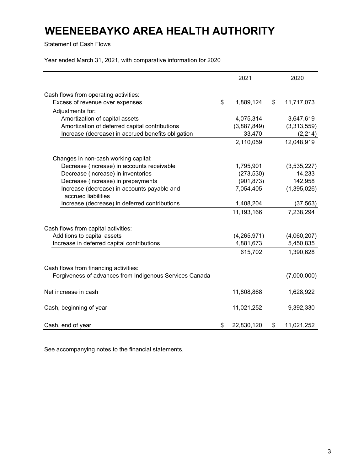Statement of Cash Flows

Year ended March 31, 2021, with comparative information for 2020

|                                                                    | 2021             | 2020             |
|--------------------------------------------------------------------|------------------|------------------|
|                                                                    |                  |                  |
| Cash flows from operating activities:                              |                  |                  |
| Excess of revenue over expenses                                    | \$<br>1,889,124  | \$<br>11,717,073 |
| Adjustments for:                                                   |                  |                  |
| Amortization of capital assets                                     | 4,075,314        | 3,647,619        |
| Amortization of deferred capital contributions                     | (3,887,849)      | (3,313,559)      |
| Increase (decrease) in accrued benefits obligation                 | 33,470           | (2, 214)         |
|                                                                    | 2,110,059        | 12,048,919       |
| Changes in non-cash working capital:                               |                  |                  |
| Decrease (increase) in accounts receivable                         | 1,795,901        | (3,535,227)      |
| Decrease (increase) in inventories                                 | (273, 530)       | 14,233           |
| Decrease (increase) in prepayments                                 | (901, 873)       | 142,958          |
| Increase (decrease) in accounts payable and<br>accrued liabilities | 7,054,405        | (1,395,026)      |
| Increase (decrease) in deferred contributions                      | 1,408,204        | (37, 563)        |
|                                                                    | 11,193,166       | 7,238,294        |
| Cash flows from capital activities:                                |                  |                  |
| Additions to capital assets                                        | (4,265,971)      | (4,060,207)      |
| Increase in deferred capital contributions                         | 4,881,673        | 5,450,835        |
|                                                                    | 615,702          | 1,390,628        |
| Cash flows from financing activities:                              |                  |                  |
| Forgiveness of advances from Indigenous Services Canada            |                  | (7,000,000)      |
| Net increase in cash                                               | 11,808,868       | 1,628,922        |
| Cash, beginning of year                                            | 11,021,252       | 9,392,330        |
| Cash, end of year                                                  | \$<br>22,830,120 | \$<br>11,021,252 |

See accompanying notes to the financial statements.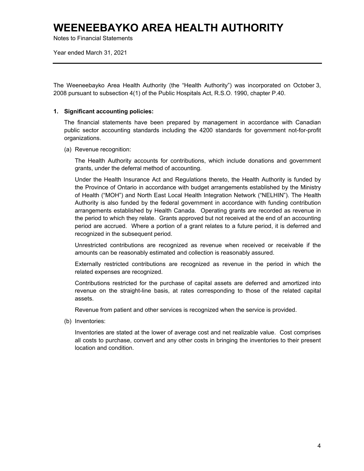Notes to Financial Statements

Year ended March 31, 2021

The Weeneebayko Area Health Authority (the "Health Authority") was incorporated on October 3, 2008 pursuant to subsection 4(1) of the Public Hospitals Act, R.S.O. 1990, chapter P.40.

#### **1. Significant accounting policies:**

The financial statements have been prepared by management in accordance with Canadian public sector accounting standards including the 4200 standards for government not-for-profit organizations.

(a) Revenue recognition:

The Health Authority accounts for contributions, which include donations and government grants, under the deferral method of accounting.

Under the Health Insurance Act and Regulations thereto, the Health Authority is funded by the Province of Ontario in accordance with budget arrangements established by the Ministry of Health ("MOH") and North East Local Health Integration Network ("NELHIN"). The Health Authority is also funded by the federal government in accordance with funding contribution arrangements established by Health Canada. Operating grants are recorded as revenue in the period to which they relate. Grants approved but not received at the end of an accounting period are accrued. Where a portion of a grant relates to a future period, it is deferred and recognized in the subsequent period.

Unrestricted contributions are recognized as revenue when received or receivable if the amounts can be reasonably estimated and collection is reasonably assured.

Externally restricted contributions are recognized as revenue in the period in which the related expenses are recognized.

Contributions restricted for the purchase of capital assets are deferred and amortized into revenue on the straight-line basis, at rates corresponding to those of the related capital assets.

Revenue from patient and other services is recognized when the service is provided.

(b) Inventories:

Inventories are stated at the lower of average cost and net realizable value. Cost comprises all costs to purchase, convert and any other costs in bringing the inventories to their present location and condition.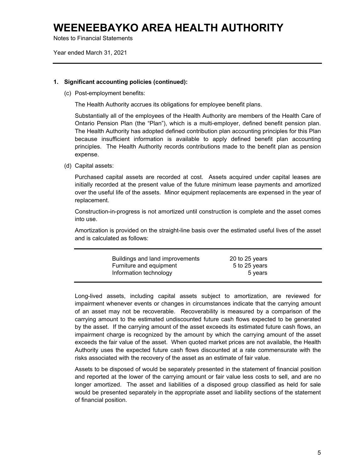Notes to Financial Statements

Year ended March 31, 2021

#### **1. Significant accounting policies (continued):**

(c) Post-employment benefits:

The Health Authority accrues its obligations for employee benefit plans.

Substantially all of the employees of the Health Authority are members of the Health Care of Ontario Pension Plan (the "Plan"), which is a multi-employer, defined benefit pension plan. The Health Authority has adopted defined contribution plan accounting principles for this Plan because insufficient information is available to apply defined benefit plan accounting principles. The Health Authority records contributions made to the benefit plan as pension expense.

(d) Capital assets:

Purchased capital assets are recorded at cost. Assets acquired under capital leases are initially recorded at the present value of the future minimum lease payments and amortized over the useful life of the assets. Minor equipment replacements are expensed in the year of replacement.

Construction-in-progress is not amortized until construction is complete and the asset comes into use.

Amortization is provided on the straight-line basis over the estimated useful lives of the asset and is calculated as follows:

| Buildings and land improvements | 20 to 25 years |  |
|---------------------------------|----------------|--|
| Furniture and equipment         | 5 to 25 years  |  |
| Information technology          | 5 years        |  |
|                                 |                |  |

Long-lived assets, including capital assets subject to amortization, are reviewed for impairment whenever events or changes in circumstances indicate that the carrying amount of an asset may not be recoverable. Recoverability is measured by a comparison of the carrying amount to the estimated undiscounted future cash flows expected to be generated by the asset. If the carrying amount of the asset exceeds its estimated future cash flows, an impairment charge is recognized by the amount by which the carrying amount of the asset exceeds the fair value of the asset. When quoted market prices are not available, the Health Authority uses the expected future cash flows discounted at a rate commensurate with the risks associated with the recovery of the asset as an estimate of fair value.

Assets to be disposed of would be separately presented in the statement of financial position and reported at the lower of the carrying amount or fair value less costs to sell, and are no longer amortized. The asset and liabilities of a disposed group classified as held for sale would be presented separately in the appropriate asset and liability sections of the statement of financial position.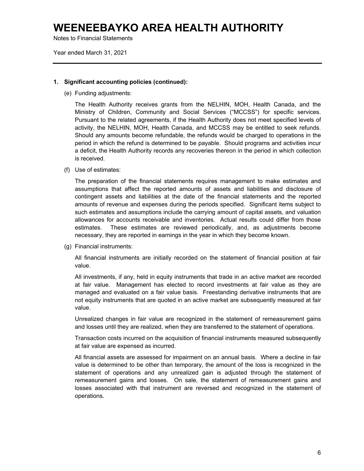Notes to Financial Statements

Year ended March 31, 2021

#### **1. Significant accounting policies (continued):**

(e) Funding adjustments:

The Health Authority receives grants from the NELHIN, MOH, Health Canada, and the Ministry of Children, Community and Social Services ("MCCSS") for specific services. Pursuant to the related agreements, if the Health Authority does not meet specified levels of activity, the NELHIN, MOH, Health Canada, and MCCSS may be entitled to seek refunds. Should any amounts become refundable, the refunds would be charged to operations in the period in which the refund is determined to be payable. Should programs and activities incur a deficit, the Health Authority records any recoveries thereon in the period in which collection is received.

(f) Use of estimates:

The preparation of the financial statements requires management to make estimates and assumptions that affect the reported amounts of assets and liabilities and disclosure of contingent assets and liabilities at the date of the financial statements and the reported amounts of revenue and expenses during the periods specified. Significant items subject to such estimates and assumptions include the carrying amount of capital assets, and valuation allowances for accounts receivable and inventories. Actual results could differ from those estimates. These estimates are reviewed periodically, and, as adjustments become necessary, they are reported in earnings in the year in which they become known.

(g) Financial instruments:

All financial instruments are initially recorded on the statement of financial position at fair value.

All investments, if any, held in equity instruments that trade in an active market are recorded at fair value. Management has elected to record investments at fair value as they are managed and evaluated on a fair value basis. Freestanding derivative instruments that are not equity instruments that are quoted in an active market are subsequently measured at fair value.

Unrealized changes in fair value are recognized in the statement of remeasurement gains and losses until they are realized, when they are transferred to the statement of operations.

Transaction costs incurred on the acquisition of financial instruments measured subsequently at fair value are expensed as incurred.

All financial assets are assessed for impairment on an annual basis. Where a decline in fair value is determined to be other than temporary, the amount of the loss is recognized in the statement of operations and any unrealized gain is adjusted through the statement of remeasurement gains and losses. On sale, the statement of remeasurement gains and losses associated with that instrument are reversed and recognized in the statement of operations.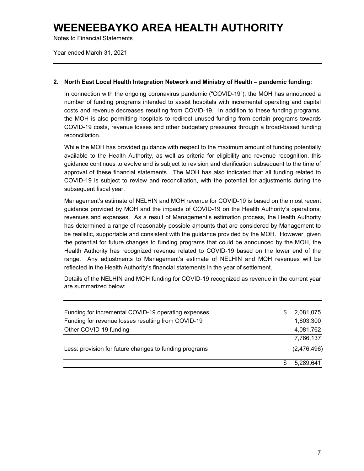Notes to Financial Statements

Year ended March 31, 2021

#### **2. North East Local Health Integration Network and Ministry of Health – pandemic funding:**

In connection with the ongoing coronavirus pandemic ("COVID-19"), the MOH has announced a number of funding programs intended to assist hospitals with incremental operating and capital costs and revenue decreases resulting from COVID-19. In addition to these funding programs, the MOH is also permitting hospitals to redirect unused funding from certain programs towards COVID-19 costs, revenue losses and other budgetary pressures through a broad-based funding reconciliation.

While the MOH has provided guidance with respect to the maximum amount of funding potentially available to the Health Authority, as well as criteria for eligibility and revenue recognition, this guidance continues to evolve and is subject to revision and clarification subsequent to the time of approval of these financial statements. The MOH has also indicated that all funding related to COVID-19 is subject to review and reconciliation, with the potential for adjustments during the subsequent fiscal year.

Management's estimate of NELHIN and MOH revenue for COVID-19 is based on the most recent guidance provided by MOH and the impacts of COVID-19 on the Health Authority's operations, revenues and expenses. As a result of Management's estimation process, the Health Authority has determined a range of reasonably possible amounts that are considered by Management to be realistic, supportable and consistent with the guidance provided by the MOH. However, given the potential for future changes to funding programs that could be announced by the MOH, the Health Authority has recognized revenue related to COVID-19 based on the lower end of the range. Any adjustments to Management's estimate of NELHIN and MOH revenues will be reflected in the Health Authority's financial statements in the year of settlement.

Details of the NELHIN and MOH funding for COVID-19 recognized as revenue in the current year are summarized below:

| Funding for incremental COVID-19 operating expenses    | \$<br>2,081,075 |
|--------------------------------------------------------|-----------------|
| Funding for revenue losses resulting from COVID-19     | 1,603,300       |
| Other COVID-19 funding                                 | 4,081,762       |
|                                                        | 7,766,137       |
| Less: provision for future changes to funding programs | (2,476,496)     |
|                                                        | 5,289,641       |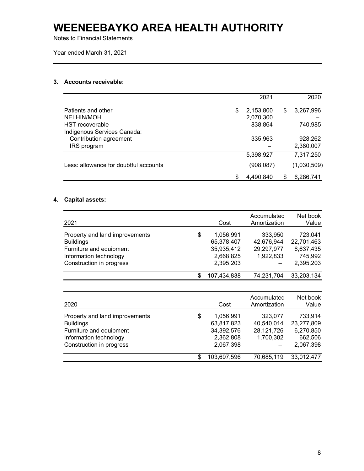Notes to Financial Statements

Year ended March 31, 2021

#### **3. Accounts receivable:**

|                                       |    | 2021      | 2020            |
|---------------------------------------|----|-----------|-----------------|
| Patients and other                    | \$ | 2,153,800 | \$<br>3,267,996 |
| NELHIN/MOH                            |    | 2,070,300 |                 |
| <b>HST</b> recoverable                |    | 838,864   | 740,985         |
| Indigenous Services Canada:           |    |           |                 |
| Contribution agreement                |    | 335,963   | 928,262         |
| IRS program                           |    |           | 2,380,007       |
|                                       |    | 5,398,927 | 7,317,250       |
| Less: allowance for doubtful accounts |    | (908,087) | (1,030,509)     |
|                                       | .ፍ | 4,490,840 | 6,286,741       |

### **4. Capital assets:**

| 2021                           |    | Cost        | Accumulated<br>Amortization | Net book<br>Value |
|--------------------------------|----|-------------|-----------------------------|-------------------|
| Property and land improvements | \$ | 1,056,991   | 333,950                     | 723,041           |
| <b>Buildings</b>               |    | 65,378,407  | 42,676,944                  | 22,701,463        |
| Furniture and equipment        |    | 35,935,412  | 29,297,977                  | 6,637,435         |
| Information technology         |    | 2,668,825   | 1,922,833                   | 745,992           |
| Construction in progress       |    | 2,395,203   |                             | 2,395,203         |
|                                | S  | 107,434,838 | 74,231,704                  | 33,203,134        |

| 2020                                                                                                                                |    | Cost                                                            | Accumulated<br>Amortization                      | Net book<br>Value                                          |
|-------------------------------------------------------------------------------------------------------------------------------------|----|-----------------------------------------------------------------|--------------------------------------------------|------------------------------------------------------------|
| Property and land improvements<br><b>Buildings</b><br>Furniture and equipment<br>Information technology<br>Construction in progress | \$ | 1,056,991<br>63,817,823<br>34,392,576<br>2,362,808<br>2,067,398 | 323,077<br>40,540,014<br>28,121,726<br>1,700,302 | 733,914<br>23,277,809<br>6,270,850<br>662,506<br>2,067,398 |
|                                                                                                                                     | S  | 103,697,596                                                     | 70,685,119                                       | 33,012,477                                                 |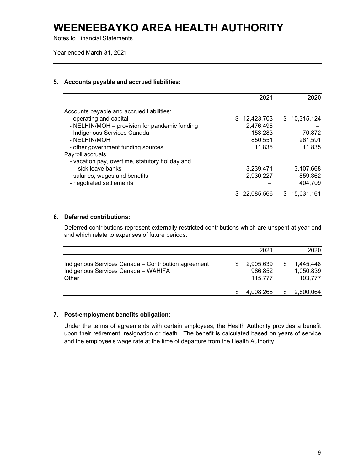Notes to Financial Statements

Year ended March 31, 2021

#### **5. Accounts payable and accrued liabilities:**

|                                                 |    | 2021       |     | 2020       |
|-------------------------------------------------|----|------------|-----|------------|
| Accounts payable and accrued liabilities:       |    |            |     |            |
| - operating and capital                         | \$ | 12,423,703 | S.  | 10,315,124 |
| - NELHIN/MOH – provision for pandemic funding   |    | 2,476,496  |     |            |
| - Indigenous Services Canada                    |    | 153,283    |     | 70,872     |
| - NELHIN/MOH                                    |    | 850,551    |     | 261,591    |
| - other government funding sources              |    | 11,835     |     | 11,835     |
| Payroll accruals:                               |    |            |     |            |
| - vacation pay, overtime, statutory holiday and |    |            |     |            |
| sick leave banks                                |    | 3,239,471  |     | 3,107,668  |
| - salaries, wages and benefits                  |    | 2,930,227  |     | 859,362    |
| - negotiated settlements                        |    |            |     | 404,709    |
|                                                 | S  | 22,085,566 | \$. | 15,031,161 |

### **6. Deferred contributions:**

Deferred contributions represent externally restricted contributions which are unspent at year-end and which relate to expenses of future periods.

|                                                                                                     | 2021                            |   | 2020                              |
|-----------------------------------------------------------------------------------------------------|---------------------------------|---|-----------------------------------|
| Indigenous Services Canada – Contribution agreement<br>Indigenous Services Canada - WAHIFA<br>Other | 2,905,639<br>986.852<br>115.777 | S | 1.445.448<br>1,050,839<br>103,777 |
|                                                                                                     | 4,008,268                       |   | 2,600,064                         |

#### **7. Post-employment benefits obligation:**

Under the terms of agreements with certain employees, the Health Authority provides a benefit upon their retirement, resignation or death. The benefit is calculated based on years of service and the employee's wage rate at the time of departure from the Health Authority.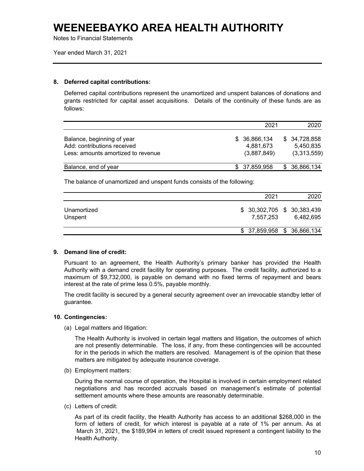Notes to Financial Statements

Year ended March 31, 2021

#### **8. Deferred capital contributions:**

Deferred capital contributions represent the unamortized and unspent balances of donations and grants restricted for capital asset acquisitions. Details of the continuity of these funds are as follows:

|                                                                                                 | 2021                                      | 2020                                     |
|-------------------------------------------------------------------------------------------------|-------------------------------------------|------------------------------------------|
| Balance, beginning of year<br>Add: contributions received<br>Less: amounts amortized to revenue | \$ 36,866,134<br>4.881.673<br>(3,887,849) | \$34,728,858<br>5.450.835<br>(3,313,559) |
| Balance, end of year                                                                            | \$ 37,859,958                             | \$36,866,134                             |

The balance of unamortized and unspent funds consists of the following:

|                        | 2021                                     | 2020      |
|------------------------|------------------------------------------|-----------|
| Unamortized<br>Unspent | $$30,302,705$ $$30,383,439$<br>7.557.253 | 6.482.695 |
|                        | \$ 37,859,958 \$ 36,866,134              |           |

#### **9. Demand line of credit:**

Pursuant to an agreement, the Health Authority's primary banker has provided the Health Authority with a demand credit facility for operating purposes. The credit facility, authorized to a maximum of \$9,732,000, is payable on demand with no fixed terms of repayment and bears interest at the rate of prime less 0.5%, payable monthly.

The credit facility is secured by a general security agreement over an irrevocable standby letter of guarantee.

#### **10. Contingencies:**

(a) Legal matters and litigation:

The Health Authority is involved in certain legal matters and litigation, the outcomes of which are not presently determinable. The loss, if any, from these contingencies will be accounted for in the periods in which the matters are resolved. Management is of the opinion that these matters are mitigated by adequate insurance coverage.

(b) Employment matters:

During the normal course of operation, the Hospital is involved in certain employment related negotiations and has recorded accruals based on management's estimate of potential settlement amounts where these amounts are reasonably determinable.

(c) Letters of credit:

As part of its credit facility, the Health Authority has access to an additional \$268,000 in the form of letters of credit, for which interest is payable at a rate of 1% per annum. As at March 31, 2021, the \$189,994 in letters of credit issued represent a contingent liability to the Health Authority.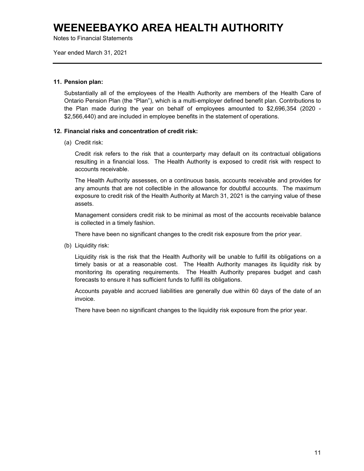Notes to Financial Statements

Year ended March 31, 2021

#### **11. Pension plan:**

Substantially all of the employees of the Health Authority are members of the Health Care of Ontario Pension Plan (the "Plan"), which is a multi-employer defined benefit plan. Contributions to the Plan made during the year on behalf of employees amounted to \$2,696,354 (2020 - \$2,566,440) and are included in employee benefits in the statement of operations.

#### **12. Financial risks and concentration of credit risk:**

(a) Credit risk:

Credit risk refers to the risk that a counterparty may default on its contractual obligations resulting in a financial loss. The Health Authority is exposed to credit risk with respect to accounts receivable.

The Health Authority assesses, on a continuous basis, accounts receivable and provides for any amounts that are not collectible in the allowance for doubtful accounts. The maximum exposure to credit risk of the Health Authority at March 31, 2021 is the carrying value of these assets.

Management considers credit risk to be minimal as most of the accounts receivable balance is collected in a timely fashion.

There have been no significant changes to the credit risk exposure from the prior year.

(b) Liquidity risk:

Liquidity risk is the risk that the Health Authority will be unable to fulfill its obligations on a timely basis or at a reasonable cost. The Health Authority manages its liquidity risk by monitoring its operating requirements. The Health Authority prepares budget and cash forecasts to ensure it has sufficient funds to fulfill its obligations.

Accounts payable and accrued liabilities are generally due within 60 days of the date of an invoice.

There have been no significant changes to the liquidity risk exposure from the prior year.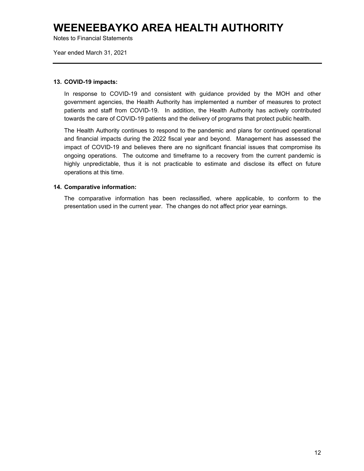Notes to Financial Statements

Year ended March 31, 2021

#### **13. COVID-19 impacts:**

In response to COVID-19 and consistent with guidance provided by the MOH and other government agencies, the Health Authority has implemented a number of measures to protect patients and staff from COVID-19. In addition, the Health Authority has actively contributed towards the care of COVID-19 patients and the delivery of programs that protect public health.

The Health Authority continues to respond to the pandemic and plans for continued operational and financial impacts during the 2022 fiscal year and beyond. Management has assessed the impact of COVID-19 and believes there are no significant financial issues that compromise its ongoing operations. The outcome and timeframe to a recovery from the current pandemic is highly unpredictable, thus it is not practicable to estimate and disclose its effect on future operations at this time.

#### **14. Comparative information:**

The comparative information has been reclassified, where applicable, to conform to the presentation used in the current year. The changes do not affect prior year earnings.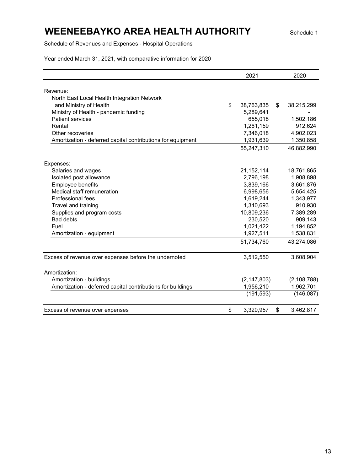### **WEENEEBAYKO AREA HEALTH AUTHORITY** Schedule 1

Schedule of Revenues and Expenses - Hospital Operations

|                                                             | 2021          | 2020             |
|-------------------------------------------------------------|---------------|------------------|
|                                                             |               |                  |
| Revenue:                                                    |               |                  |
| North East Local Health Integration Network                 |               |                  |
| and Ministry of Health<br>\$                                | 38,763,835    | \$<br>38,215,299 |
| Ministry of Health - pandemic funding                       | 5,289,641     |                  |
| <b>Patient services</b>                                     | 655,018       | 1,502,186        |
| Rental                                                      | 1,261,159     | 912,624          |
| Other recoveries                                            | 7,346,018     | 4,902,023        |
| Amortization - deferred capital contributions for equipment | 1,931,639     | 1,350,858        |
|                                                             | 55,247,310    | 46,882,990       |
| Expenses:                                                   |               |                  |
| Salaries and wages                                          | 21,152,114    | 18,761,865       |
| Isolated post allowance                                     | 2,796,198     | 1,908,898        |
| Employee benefits                                           | 3,839,166     | 3,661,876        |
| Medical staff remuneration                                  | 6,998,656     | 5,654,425        |
| Professional fees                                           | 1,619,244     | 1,343,977        |
| Travel and training                                         | 1,340,693     | 910,930          |
| Supplies and program costs                                  | 10,809,236    | 7,389,289        |
| <b>Bad debts</b>                                            | 230,520       | 909,143          |
| Fuel                                                        | 1,021,422     | 1,194,852        |
| Amortization - equipment                                    | 1,927,511     | 1,538,831        |
|                                                             | 51,734,760    | 43,274,086       |
| Excess of revenue over expenses before the undernoted       | 3,512,550     | 3,608,904        |
|                                                             |               |                  |
| Amortization:                                               |               |                  |
| Amortization - buildings                                    | (2, 147, 803) | (2, 108, 788)    |
| Amortization - deferred capital contributions for buildings | 1,956,210     | 1,962,701        |
|                                                             | (191, 593)    | (146, 087)       |
| \$<br>Excess of revenue over expenses                       | 3,320,957     | \$<br>3,462,817  |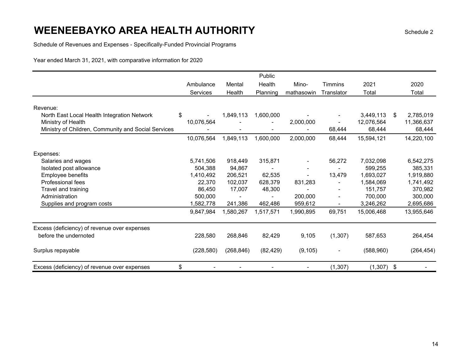Schedule of Revenues and Expenses - Specifically-Funded Provincial Programs

|                                                     |            |            | Public    |            |                |              |                 |
|-----------------------------------------------------|------------|------------|-----------|------------|----------------|--------------|-----------------|
|                                                     | Ambulance  | Mental     | Health    | Mino-      | <b>Timmins</b> | 2021         | 2020            |
|                                                     | Services   | Health     | Planning  | mathasowin | Translator     | Total        | Total           |
|                                                     |            |            |           |            |                |              |                 |
| Revenue:                                            |            |            |           |            |                |              |                 |
| North East Local Health Integration Network         | \$         | 1,849,113  | 1,600,000 |            |                | 3,449,113    | 2,785,019<br>\$ |
| Ministry of Health                                  | 10,076,564 |            |           | 2,000,000  |                | 12,076,564   | 11,366,637      |
| Ministry of Children, Community and Social Services |            |            |           |            | 68,444         | 68,444       | 68,444          |
|                                                     | 10,076,564 | 1,849,113  | 1,600,000 | 2,000,000  | 68,444         | 15,594,121   | 14,220,100      |
| Expenses:                                           |            |            |           |            |                |              |                 |
| Salaries and wages                                  | 5,741,506  | 918,449    | 315,871   |            | 56,272         | 7,032,098    | 6,542,275       |
| Isolated post allowance                             | 504,388    | 94,867     |           |            |                | 599,255      | 385,331         |
| Employee benefits                                   | 1,410,492  | 206,521    | 62,535    |            | 13,479         | 1,693,027    | 1,919,880       |
| Professional fees                                   | 22,370     | 102,037    | 628,379   | 831,283    |                | 1,584,069    | 1,741,492       |
| Travel and training                                 | 86,450     | 17,007     | 48,300    |            |                | 151,757      | 370,982         |
| Administration                                      | 500,000    |            |           | 200,000    |                | 700,000      | 300,000         |
| Supplies and program costs                          | 1,582,778  | 241,386    | 462,486   | 959,612    |                | 3,246,262    | 2,695,686       |
|                                                     | 9,847,984  | 1,580,267  | 1,517,571 | 1,990,895  | 69,751         | 15,006,468   | 13,955,646      |
| Excess (deficiency) of revenue over expenses        |            |            |           |            |                |              |                 |
| before the undernoted                               | 228,580    | 268,846    | 82,429    | 9,105      | (1,307)        | 587,653      | 264,454         |
| Surplus repayable                                   | (228, 580) | (268, 846) | (82, 429) | (9, 105)   |                | (588,960)    | (264, 454)      |
| Excess (deficiency) of revenue over expenses        | \$         |            |           |            | (1, 307)       | $(1,307)$ \$ |                 |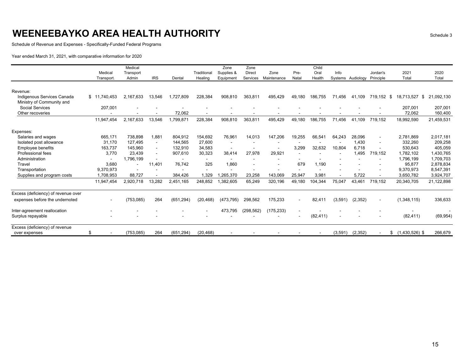Schedule of Revenue and Expenses - Specifically-Funded Federal Programs

|                                                     |                  | Medical        |                          |                          |                          | Zone       | Zone          |             |        | Child     |         |           |                          |                       |            |
|-----------------------------------------------------|------------------|----------------|--------------------------|--------------------------|--------------------------|------------|---------------|-------------|--------|-----------|---------|-----------|--------------------------|-----------------------|------------|
|                                                     | Medical          | Transport      |                          |                          | Traditional              | Supplies & | <b>Direct</b> | Zone        | Pre-   | Oral      | Info    |           | Jordan's                 | 2021                  | 2020       |
|                                                     | <b>Transport</b> | Admin          | <b>IRS</b>               | Dental                   | Healing                  | Equipment  | Services      | Maintenance | Natal  | Health    | Systems | Audiology | Principle                | Total                 | Total      |
|                                                     |                  |                |                          |                          |                          |            |               |             |        |           |         |           |                          |                       |            |
| Revenue:<br>Indigenous Services Canada              | \$11<br>.740.453 | 2.167.633      |                          | 1.727.809                | 228,384                  |            | 363.811       |             |        | 186.755   | 71.456  | 41.109    |                          | 18.713.527<br>-\$     | 21.092.130 |
|                                                     |                  |                | 13,546                   |                          |                          | 908,810    |               | 495,429     | 49,180 |           |         |           | 719,152                  | \$                    |            |
| Ministry of Community and<br><b>Social Services</b> | 207,001          |                |                          |                          |                          |            |               |             |        |           |         |           |                          | 207.001               | 207,001    |
| Other recoveries                                    |                  |                |                          | 72,062                   |                          |            |               |             |        |           |         |           |                          | 72,062                | 160,400    |
|                                                     |                  |                |                          |                          |                          |            |               |             |        |           |         |           |                          |                       |            |
|                                                     | 11.947.454       | 2.167.633      | 13,546                   | 1.799.871                | 228,384                  | 908,810    | 363.811       | 495.429     | 49.180 | 186.755   | 71.456  | 41.109    | 719.152                  | 18,992,590            | 21,459,531 |
| Expenses:                                           |                  |                |                          |                          |                          |            |               |             |        |           |         |           |                          |                       |            |
| Salaries and wages                                  | 665,171          | 738,898        | 1,881                    | 804,912                  | 154,692                  | 76,961     | 14.013        | 147,206     | 19,255 | 66,541    | 64.243  | 28,096    | $\blacksquare$           | 2,781,869             | 2,017,181  |
| Isolated post allowance                             | 31.170           | 127.495        |                          | 144,565                  | 27,600                   |            |               |             |        |           |         | 1.430     | $\blacksquare$           | 332,260               | 209,258    |
| <b>Employee benefits</b>                            | 163,737          | 145,960        | $\overline{\phantom{a}}$ | 132,910                  | 34,583                   |            |               |             | 3,299  | 32,632    | 10.804  | 6.718     | ٠                        | 530,643               | 405,059    |
| Professional fees                                   | 3.770            | 23.439         | $\overline{\phantom{a}}$ | 907.610                  | 30,323                   | 38.414     | 27.978        | 29,921      |        |           |         | 1.495     | 719,152                  | 1,782,102             | 1,430,765  |
| Administration                                      |                  | 1,796,199      |                          |                          |                          |            |               |             |        |           |         |           | ٠                        | 1,796,199             | 1,709,703  |
| Travel                                              | 3,680            | $\blacksquare$ | 11,401                   | 76,742                   | 325                      | 1,860      |               |             | 679    | 1,190     |         |           |                          | 95,877                | 2,878,834  |
| Transportation                                      | 9,370,973        |                |                          | $\overline{\phantom{a}}$ | $\overline{\phantom{a}}$ |            |               |             |        |           |         |           |                          | 9,370,973             | 8,547,391  |
| Supplies and program costs                          | 1,708,953        | 88,727         |                          | 384,426                  | 1,329                    | ,265,370   | 23,258        | 143,069     | 25,947 | 3,981     |         | 5,722     | $\overline{\phantom{a}}$ | 3,650,782             | 3,924,707  |
|                                                     | 11,947,454       | 2,920,718      | 13,282                   | 2.451.165                | 248,852                  | .382,605   | 65,249        | 320,196     | 49,180 | 104,344   | 75,047  | 43,461    | 719.152                  | 20,340,705            | 21,122,898 |
| Excess (deficiency) of revenue over                 |                  |                |                          |                          |                          |            |               |             |        |           |         |           |                          |                       |            |
| expenses before the undernoted                      |                  | (753, 085)     | 264                      | (651.294)                | (20.468)                 | (473, 795) | 298.562       | 175,233     |        | 82,411    | (3,591) | (2,352)   | $\blacksquare$           | (1,348,115)           | 336,633    |
| Inter-agreement reallocation                        |                  |                |                          |                          |                          | 473,795    | (298, 562)    | (175, 233)  |        |           |         |           |                          |                       |            |
| Surplus repayable                                   |                  |                |                          |                          |                          |            |               |             |        | (82, 411) |         |           |                          | (82, 411)             | (69, 954)  |
| Excess (deficiency) of revenue                      |                  |                |                          |                          |                          |            |               |             |        |           |         |           |                          |                       |            |
| over expenses                                       | \$               | (753, 085)     | 264                      | (651, 294)               | (20, 468)                |            |               |             |        |           | (3,591) | (2, 352)  |                          | $(1,430,526)$ \$<br>S | 266,679    |